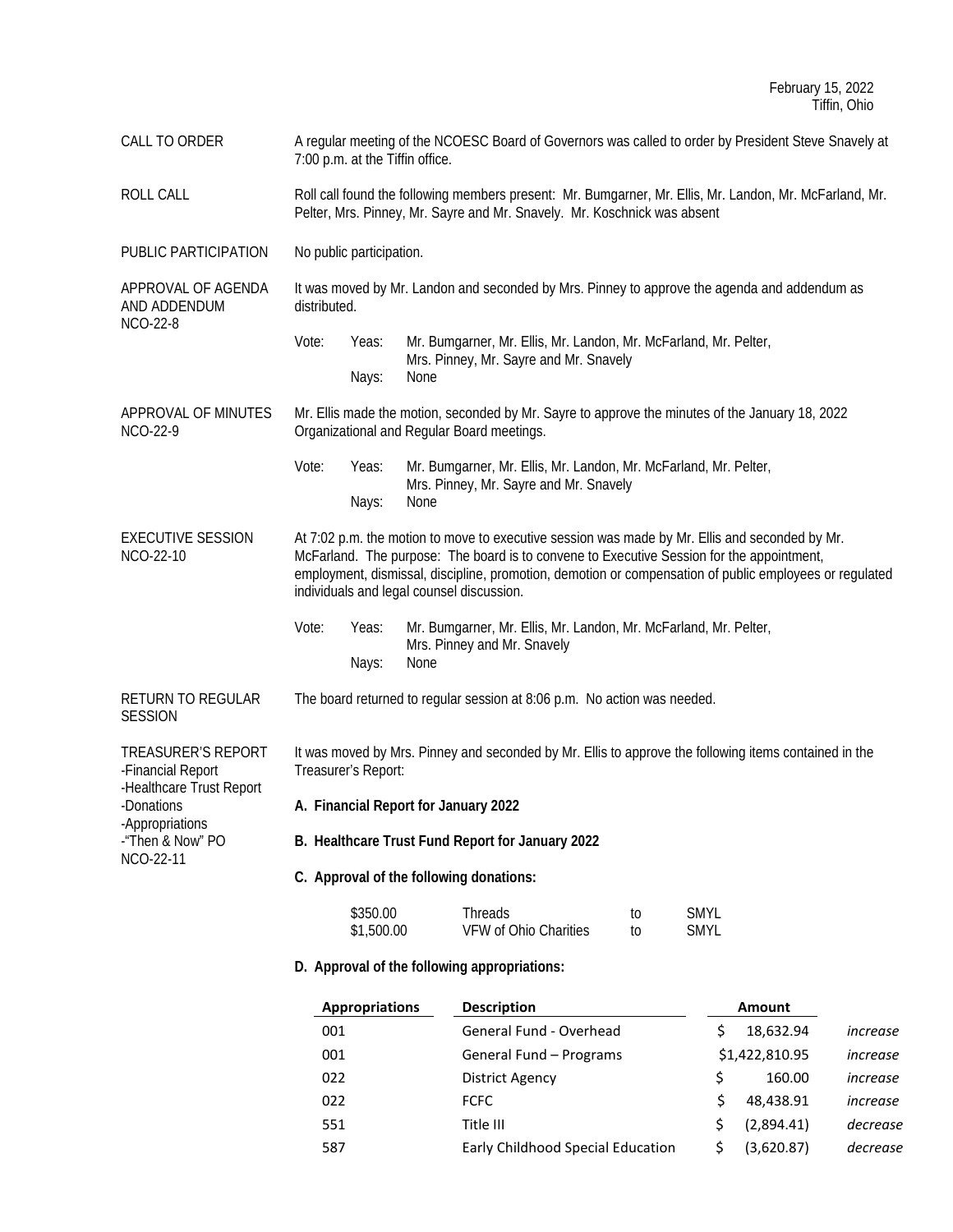- CALL TO ORDER A regular meeting of the NCOESC Board of Governors was called to order by President Steve Snavely at 7:00 p.m. at the Tiffin office.
- ROLL CALL CALL Roll call found the following members present: Mr. Bumgarner, Mr. Ellis, Mr. Landon, Mr. McFarland, Mr. Pelter, Mrs. Pinney, Mr. Sayre and Mr. Snavely. Mr. Koschnick was absent
- PUBLIC PARTICIPATION No public participation.

SESSION

-Donations -Appropriations -"Then & Now" PO NCO-22-11

TREASURER'S REPORT -Financial Report -Healthcare Trust Report

APPROVAL OF AGENDA AND ADDENDUM NCO-22-8 It was moved by Mr. Landon and seconded by Mrs. Pinney to approve the agenda and addendum as distributed.

- Vote: Yeas: Mr. Bumgarner, Mr. Ellis, Mr. Landon, Mr. McFarland, Mr. Pelter, Mrs. Pinney, Mr. Sayre and Mr. Snavely Nays: None
- APPROVAL OF MINUTES NCO-22-9 Mr. Ellis made the motion, seconded by Mr. Sayre to approve the minutes of the January 18, 2022 Organizational and Regular Board meetings.
	- Vote: Yeas: Mr. Bumgarner, Mr. Ellis, Mr. Landon, Mr. McFarland, Mr. Pelter, Mrs. Pinney, Mr. Sayre and Mr. Snavely Nays: None

EXECUTIVE SESSION NCO-22-10 At 7:02 p.m. the motion to move to executive session was made by Mr. Ellis and seconded by Mr. McFarland. The purpose: The board is to convene to Executive Session for the appointment, employment, dismissal, discipline, promotion, demotion or compensation of public employees or regulated individuals and legal counsel discussion.

- Vote: Yeas: Mr. Bumgarner, Mr. Ellis, Mr. Landon, Mr. McFarland, Mr. Pelter, Mrs. Pinney and Mr. Snavely Nays: None
- RETURN TO REGULAR The board returned to regular session at 8:06 p.m. No action was needed.

It was moved by Mrs. Pinney and seconded by Mr. Ellis to approve the following items contained in the Treasurer's Report:

- **A. Financial Report for January 2022**
- **B. Healthcare Trust Fund Report for January 2022**
- **C. Approval of the following donations:**

| \$350.00   | Threads               |    | <b>SMYL</b> |
|------------|-----------------------|----|-------------|
| \$1,500.00 | VFW of Ohio Charities | tΟ | SMYL        |

**D. Approval of the following appropriations:**

| <b>Appropriations</b> | <b>Description</b>                |   | Amount         |          |
|-----------------------|-----------------------------------|---|----------------|----------|
| 001                   | General Fund - Overhead           |   | 18,632.94      | increase |
| 001                   | General Fund - Programs           |   | \$1,422,810.95 | increase |
| 022                   | District Agency                   | Ś | 160.00         | increase |
| 022                   | <b>FCFC</b>                       | S | 48,438.91      | increase |
| 551                   | Title III                         |   | (2,894.41)     | decrease |
| 587                   | Early Childhood Special Education |   | (3,620.87)     | decrease |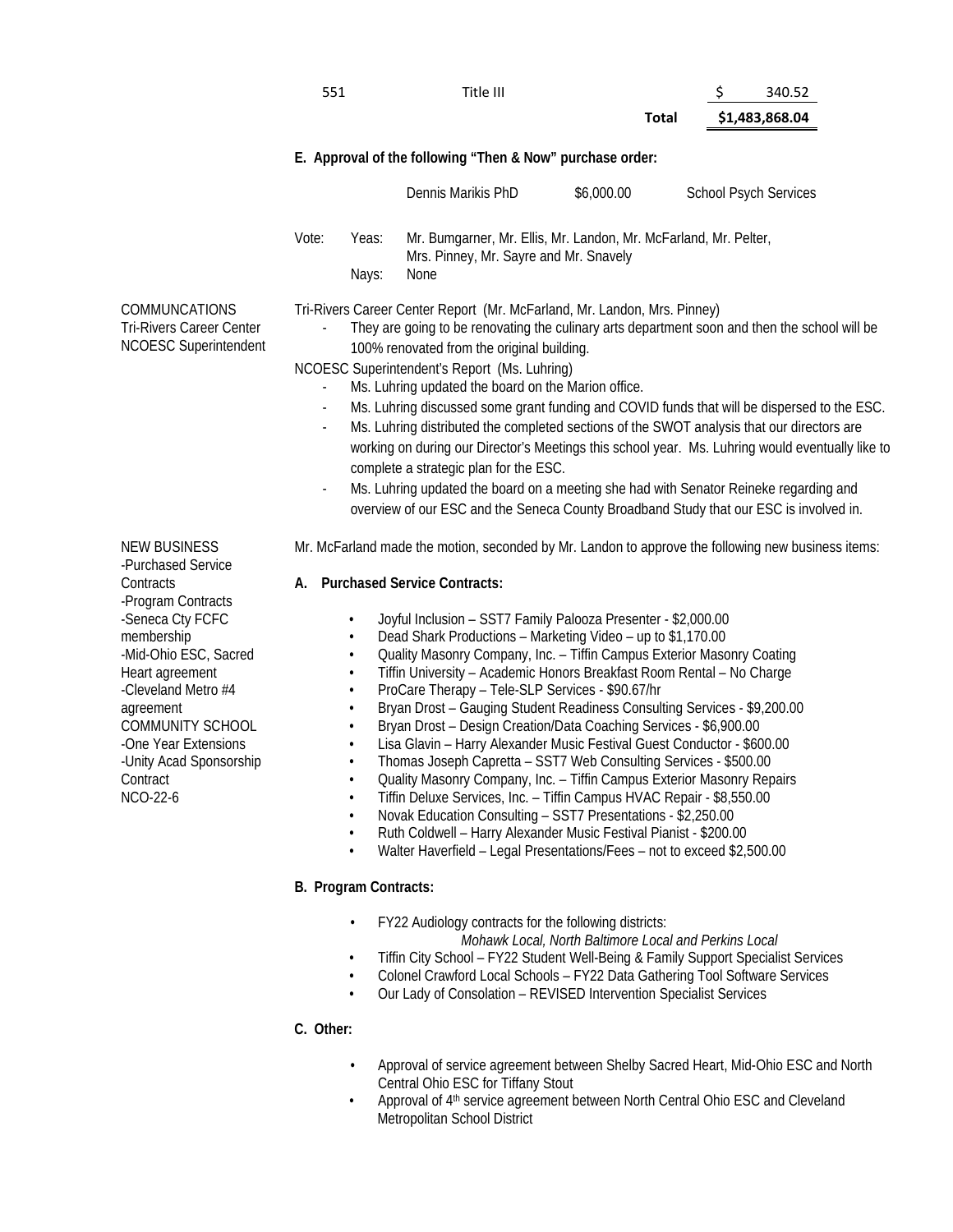|                                                                                                                                                                                                                                                                                                             | 551                                                                                                                         | Title III                                                                                                                                                                                                                                                                                                                                                                                                                                                                                                                                                                                                                                                                                                                                                                                                                                                                                                                                                                                                                                                                                                                                       |                                                       | \$                           | 340.52         |  |
|-------------------------------------------------------------------------------------------------------------------------------------------------------------------------------------------------------------------------------------------------------------------------------------------------------------|-----------------------------------------------------------------------------------------------------------------------------|-------------------------------------------------------------------------------------------------------------------------------------------------------------------------------------------------------------------------------------------------------------------------------------------------------------------------------------------------------------------------------------------------------------------------------------------------------------------------------------------------------------------------------------------------------------------------------------------------------------------------------------------------------------------------------------------------------------------------------------------------------------------------------------------------------------------------------------------------------------------------------------------------------------------------------------------------------------------------------------------------------------------------------------------------------------------------------------------------------------------------------------------------|-------------------------------------------------------|------------------------------|----------------|--|
|                                                                                                                                                                                                                                                                                                             |                                                                                                                             |                                                                                                                                                                                                                                                                                                                                                                                                                                                                                                                                                                                                                                                                                                                                                                                                                                                                                                                                                                                                                                                                                                                                                 | <b>Total</b>                                          |                              | \$1,483,868.04 |  |
|                                                                                                                                                                                                                                                                                                             | E. Approval of the following "Then & Now" purchase order:                                                                   |                                                                                                                                                                                                                                                                                                                                                                                                                                                                                                                                                                                                                                                                                                                                                                                                                                                                                                                                                                                                                                                                                                                                                 |                                                       |                              |                |  |
|                                                                                                                                                                                                                                                                                                             |                                                                                                                             | Dennis Marikis PhD                                                                                                                                                                                                                                                                                                                                                                                                                                                                                                                                                                                                                                                                                                                                                                                                                                                                                                                                                                                                                                                                                                                              | \$6,000.00                                            | <b>School Psych Services</b> |                |  |
|                                                                                                                                                                                                                                                                                                             | Vote:<br>Yeas:<br>Nays:                                                                                                     | Mr. Bumgarner, Mr. Ellis, Mr. Landon, Mr. McFarland, Mr. Pelter,<br>Mrs. Pinney, Mr. Sayre and Mr. Snavely<br>None                                                                                                                                                                                                                                                                                                                                                                                                                                                                                                                                                                                                                                                                                                                                                                                                                                                                                                                                                                                                                              |                                                       |                              |                |  |
| COMMUNCATIONS<br><b>Tri-Rivers Career Center</b><br><b>NCOESC Superintendent</b>                                                                                                                                                                                                                            | $\overline{\phantom{a}}$<br>$\overline{\phantom{a}}$<br>$\overline{\phantom{a}}$                                            | Tri-Rivers Career Center Report (Mr. McFarland, Mr. Landon, Mrs. Pinney)<br>They are going to be renovating the culinary arts department soon and then the school will be<br>100% renovated from the original building.<br>NCOESC Superintendent's Report (Ms. Luhring)<br>Ms. Luhring updated the board on the Marion office.<br>Ms. Luhring discussed some grant funding and COVID funds that will be dispersed to the ESC.<br>Ms. Luhring distributed the completed sections of the SWOT analysis that our directors are<br>working on during our Director's Meetings this school year. Ms. Luhring would eventually like to<br>complete a strategic plan for the ESC.<br>Ms. Luhring updated the board on a meeting she had with Senator Reineke regarding and<br>overview of our ESC and the Seneca County Broadband Study that our ESC is involved in.                                                                                                                                                                                                                                                                                    |                                                       |                              |                |  |
| <b>NEW BUSINESS</b><br>-Purchased Service<br>Contracts<br>-Program Contracts<br>-Seneca Cty FCFC<br>membership<br>-Mid-Ohio ESC, Sacred<br>Heart agreement<br>-Cleveland Metro #4<br>agreement<br><b>COMMUNITY SCHOOL</b><br>-One Year Extensions<br>-Unity Acad Sponsorship<br>Contract<br><b>NCO-22-6</b> | ٠<br>$\bullet$<br>$\bullet$<br>$\bullet$<br>$\bullet$<br>$\bullet$<br>$\bullet$<br>$\bullet$<br>$\bullet$<br>$\bullet$<br>٠ | Mr. McFarland made the motion, seconded by Mr. Landon to approve the following new business items:<br>A. Purchased Service Contracts:<br>Joyful Inclusion - SST7 Family Palooza Presenter - \$2,000.00<br>Dead Shark Productions - Marketing Video - up to \$1,170.00<br>Quality Masonry Company, Inc. - Tiffin Campus Exterior Masonry Coating<br>Tiffin University - Academic Honors Breakfast Room Rental - No Charge<br>ProCare Therapy - Tele-SLP Services - \$90.67/hr<br>Bryan Drost - Gauging Student Readiness Consulting Services - \$9,200.00<br>Bryan Drost - Design Creation/Data Coaching Services - \$6,900.00<br>Lisa Glavin - Harry Alexander Music Festival Guest Conductor - \$600.00<br>Thomas Joseph Capretta - SST7 Web Consulting Services - \$500.00<br>Quality Masonry Company, Inc. - Tiffin Campus Exterior Masonry Repairs<br>Tiffin Deluxe Services, Inc. - Tiffin Campus HVAC Repair - \$8,550.00<br>Novak Education Consulting - SST7 Presentations - \$2,250.00<br>Ruth Coldwell - Harry Alexander Music Festival Pianist - \$200.00<br>Walter Haverfield - Legal Presentations/Fees - not to exceed \$2,500.00 |                                                       |                              |                |  |
|                                                                                                                                                                                                                                                                                                             | B. Program Contracts:                                                                                                       | FY22 Audiology contracts for the following districts:<br>Tiffin City School - FY22 Student Well-Being & Family Support Specialist Services<br>Colonel Crawford Local Schools - FY22 Data Gathering Tool Software Services<br>Our Lady of Consolation - REVISED Intervention Specialist Services                                                                                                                                                                                                                                                                                                                                                                                                                                                                                                                                                                                                                                                                                                                                                                                                                                                 | Mohawk Local, North Baltimore Local and Perkins Local |                              |                |  |

# **C. Other:**

- Approval of service agreement between Shelby Sacred Heart, Mid-Ohio ESC and North Central Ohio ESC for Tiffany Stout
- Approval of 4<sup>th</sup> service agreement between North Central Ohio ESC and Cleveland Metropolitan School District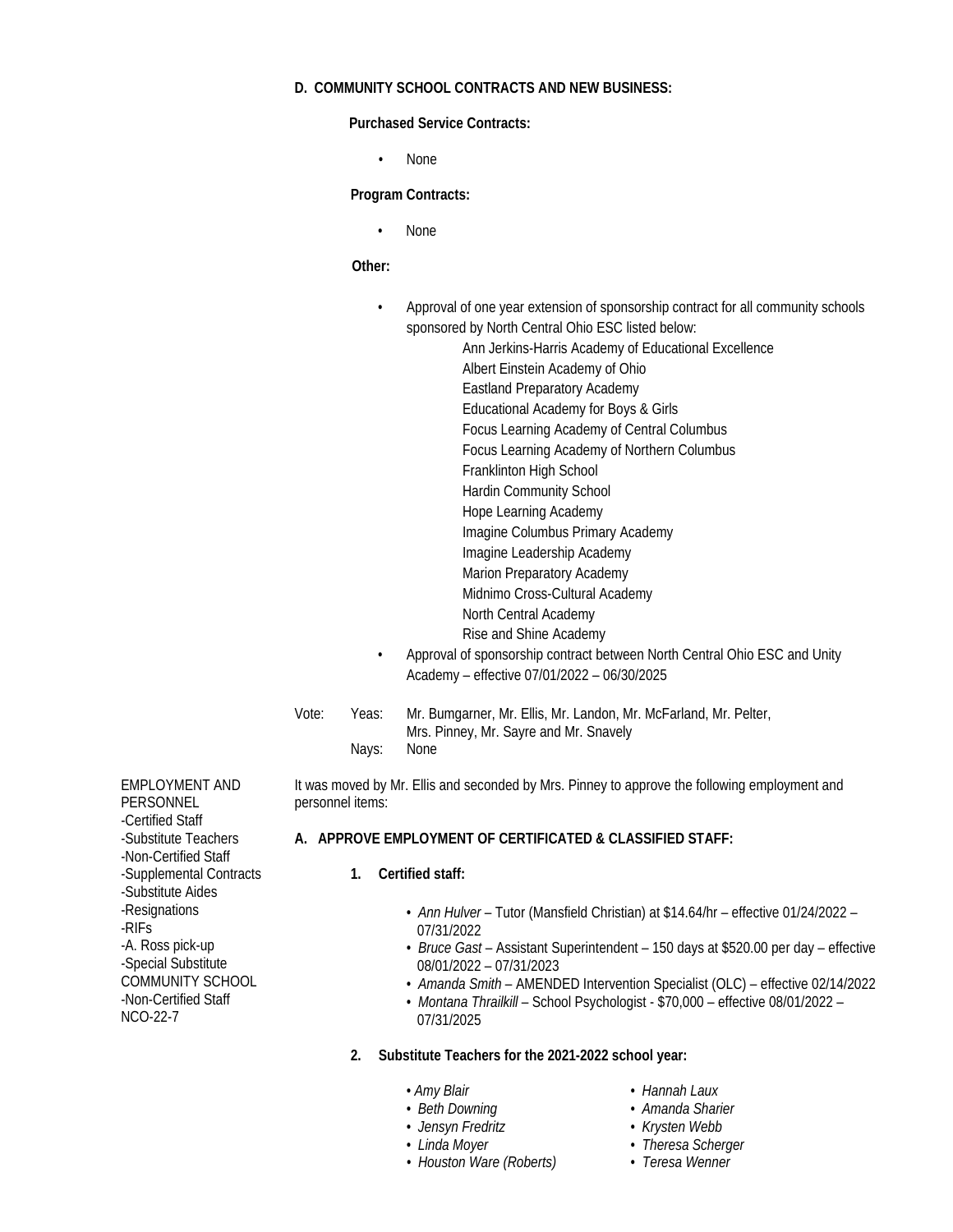# **D. COMMUNITY SCHOOL CONTRACTS AND NEW BUSINESS:**

#### **Purchased Service Contracts:**

• None

# **Program Contracts:**

• None

# **Other:**

- Approval of one year extension of sponsorship contract for all community schools sponsored by North Central Ohio ESC listed below: Ann Jerkins-Harris Academy of Educational Excellence
	- Albert Einstein Academy of Ohio
	- Eastland Preparatory Academy
	- Educational Academy for Boys & Girls
	- Focus Learning Academy of Central Columbus
	- Focus Learning Academy of Northern Columbus
	- Franklinton High School
	- Hardin Community School
	- Hope Learning Academy
	- Imagine Columbus Primary Academy
	- Imagine Leadership Academy
	- Marion Preparatory Academy
	- Midnimo Cross-Cultural Academy
	- North Central Academy
	- Rise and Shine Academy
- Approval of sponsorship contract between North Central Ohio ESC and Unity Academy – effective 07/01/2022 – 06/30/2025
- Vote: Yeas: Mr. Bumgarner, Mr. Ellis, Mr. Landon, Mr. McFarland, Mr. Pelter, Mrs. Pinney, Mr. Sayre and Mr. Snavely Nays: None

EMPLOYMENT AND PERSONNEL -Certified Staff -Substitute Teachers -Non-Certified Staff -Supplemental Contracts -Substitute Aides -Resignations -RIFs -A. Ross pick-up -Special Substitute COMMUNITY SCHOOL -Non-Certified Staff NCO-22-7

It was moved by Mr. Ellis and seconded by Mrs. Pinney to approve the following employment and personnel items:

# **A. APPROVE EMPLOYMENT OF CERTIFICATED & CLASSIFIED STAFF:**

- **1. Certified staff:**
	- *Ann Hulver* Tutor (Mansfield Christian) at \$14.64/hr effective 01/24/2022 07/31/2022
	- *Bruce Gast* Assistant Superintendent 150 days at \$520.00 per day effective 08/01/2022 – 07/31/2023
	- *Amanda Smith* AMENDED Intervention Specialist (OLC) effective 02/14/2022
	- *Montana Thrailkill* School Psychologist \$70,000 effective 08/01/2022 07/31/2025
- **2. Substitute Teachers for the 2021-2022 school year:**
	-
	-
	- *Jensyn Fredritz Krysten Webb*
	-
	- *Houston Ware (Roberts) Teresa Wenner*
	- *Amy Blair Hannah Laux*
	- *Beth Downing Amanda Sharier*
		-
	- *Linda Moyer Theresa Scherger*
		-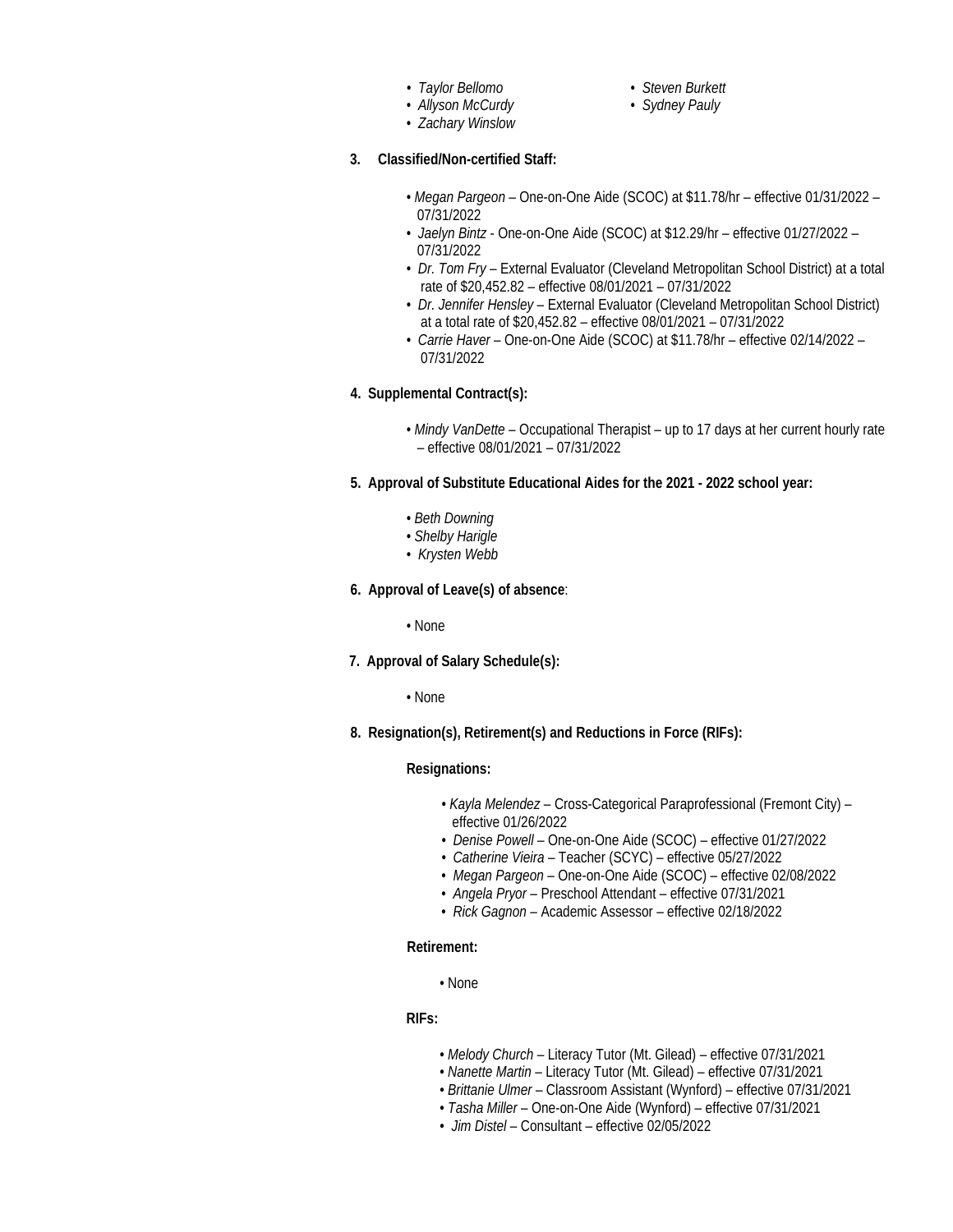- 
- *Taylor Bellomo Steven Burkett*
- *Allyson McCurdy Sydney Pauly*
- *Zachary Winslow*
- **3. Classified/Non-certified Staff:**
	- *Megan Pargeon* One-on-One Aide (SCOC) at \$11.78/hr effective 01/31/2022 07/31/2022
	- *Jaelyn Bintz* One-on-One Aide (SCOC) at \$12.29/hr effective 01/27/2022 07/31/2022
	- *Dr. Tom Fry* External Evaluator (Cleveland Metropolitan School District) at a total rate of \$20,452.82 – effective 08/01/2021 – 07/31/2022
	- *Dr. Jennifer Hensley* External Evaluator (Cleveland Metropolitan School District) at a total rate of \$20,452.82 – effective 08/01/2021 – 07/31/2022
	- *Carrie Haver* One-on-One Aide (SCOC) at \$11.78/hr effective 02/14/2022 07/31/2022
- **4. Supplemental Contract(s):**
	- *Mindy VanDette* Occupational Therapist up to 17 days at her current hourly rate – effective 08/01/2021 – 07/31/2022
- **5. Approval of Substitute Educational Aides for the 2021 - 2022 school year:**
	- *Beth Downing*
	- *Shelby Harigle*
	- *Krysten Webb*
- **6. Approval of Leave(s) of absence**:

• None

**7. Approval of Salary Schedule(s):**

• None

**8. Resignation(s), Retirement(s) and Reductions in Force (RIFs):**

### **Resignations:**

- *Kayla Melendez* Cross-Categorical Paraprofessional (Fremont City) effective 01/26/2022
- *Denise Powell* One-on-One Aide (SCOC) effective 01/27/2022
- *Catherine Vieira* Teacher (SCYC) effective 05/27/2022
- *Megan Pargeon* One-on-One Aide (SCOC) effective 02/08/2022
- *Angela Pryor* Preschool Attendant effective 07/31/2021
- *Rick Gagnon* Academic Assessor effective 02/18/2022

### **Retirement:**

• None

# **RIFs:**

- *Melody Church* Literacy Tutor (Mt. Gilead) effective 07/31/2021
- *Nanette Martin* Literacy Tutor (Mt. Gilead) effective 07/31/2021
- *Brittanie Ulmer* Classroom Assistant (Wynford) effective 07/31/2021
- *Tasha Miller* One-on-One Aide (Wynford) effective 07/31/2021
- *Jim Distel* Consultant effective 02/05/2022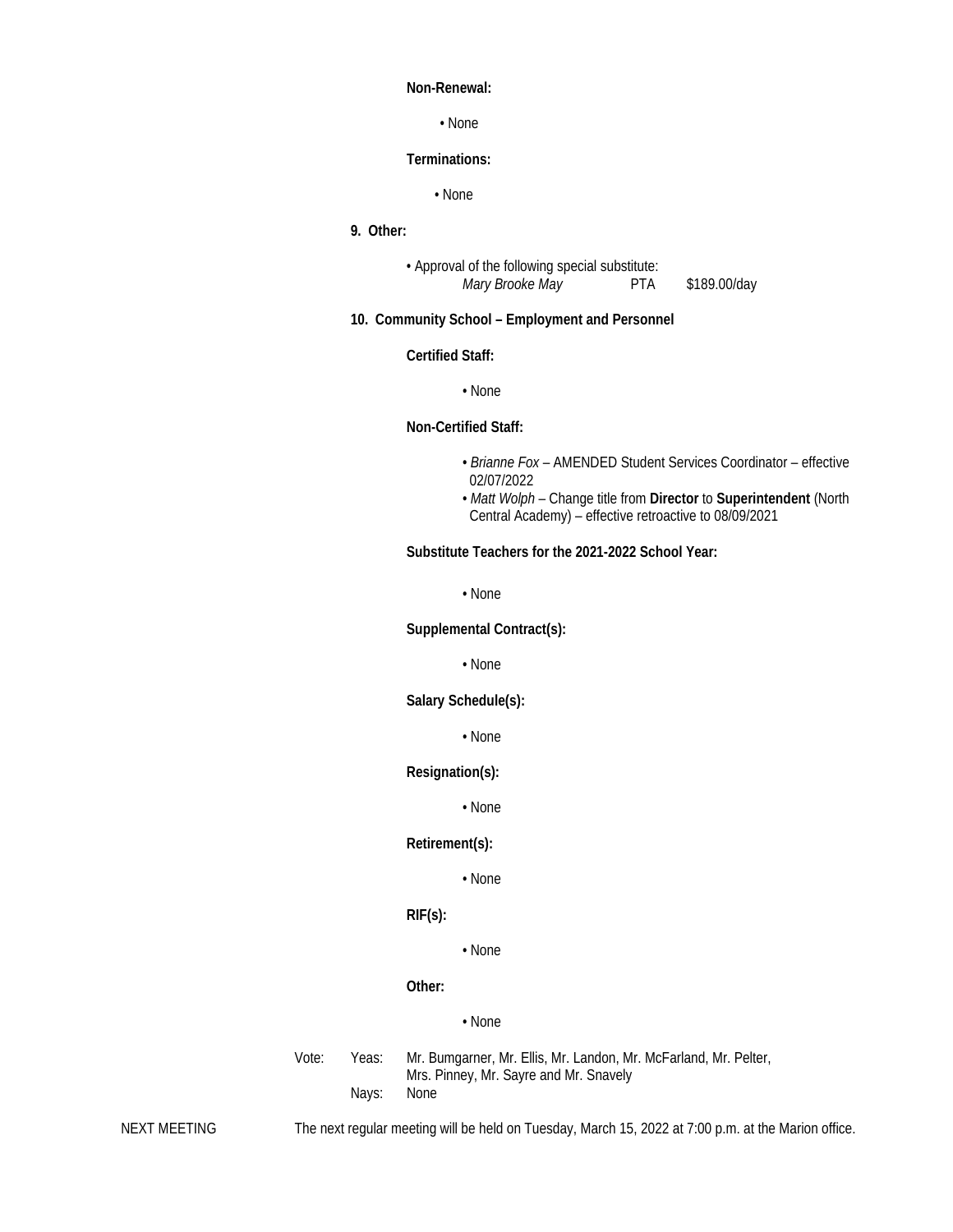### **Non-Renewal:**

• None

#### **Terminations:**

• None

# **9. Other:**

• Approval of the following special substitute: *Mary Brooke May* PTA \$189.00/day

# **10. Community School – Employment and Personnel**

### **Certified Staff:**

• None

### **Non-Certified Staff:**

- *Brianne Fox* AMENDED Student Services Coordinator effective 02/07/2022
- *Matt Wolph* Change title from **Director** to **Superintendent** (North Central Academy) – effective retroactive to 08/09/2021

# **Substitute Teachers for the 2021-2022 School Year:**

• None

**Supplemental Contract(s):**

• None

**Salary Schedule(s):**

• None

#### **Resignation(s):**

• None

### **Retirement(s):**

• None

### **RIF(s):**

• None

**Other:**

#### • None

Vote: Yeas: Mr. Bumgarner, Mr. Ellis, Mr. Landon, Mr. McFarland, Mr. Pelter, Mrs. Pinney, Mr. Sayre and Mr. Snavely Nays: None

NEXT MEETING The next regular meeting will be held on Tuesday, March 15, 2022 at 7:00 p.m. at the Marion office.